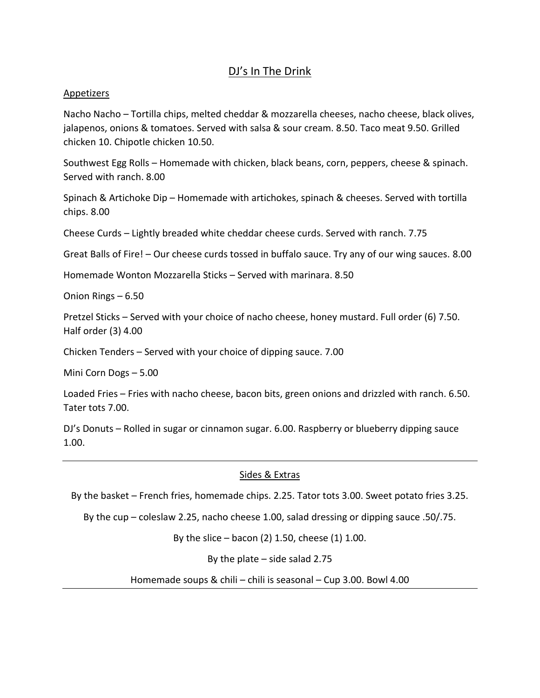# DJ's In The Drink

## Appetizers

Nacho Nacho – Tortilla chips, melted cheddar & mozzarella cheeses, nacho cheese, black olives, jalapenos, onions & tomatoes. Served with salsa & sour cream. 8.50. Taco meat 9.50. Grilled chicken 10. Chipotle chicken 10.50.

Southwest Egg Rolls – Homemade with chicken, black beans, corn, peppers, cheese & spinach. Served with ranch. 8.00

Spinach & Artichoke Dip – Homemade with artichokes, spinach & cheeses. Served with tortilla chips. 8.00

Cheese Curds – Lightly breaded white cheddar cheese curds. Served with ranch. 7.75

Great Balls of Fire! – Our cheese curds tossed in buffalo sauce. Try any of our wing sauces. 8.00

Homemade Wonton Mozzarella Sticks – Served with marinara. 8.50

Onion Rings – 6.50

Pretzel Sticks – Served with your choice of nacho cheese, honey mustard. Full order (6) 7.50. Half order (3) 4.00

Chicken Tenders – Served with your choice of dipping sauce. 7.00

Mini Corn Dogs – 5.00

Loaded Fries – Fries with nacho cheese, bacon bits, green onions and drizzled with ranch. 6.50. Tater tots 7.00.

DJ's Donuts – Rolled in sugar or cinnamon sugar. 6.00. Raspberry or blueberry dipping sauce 1.00.

## Sides & Extras

By the basket – French fries, homemade chips. 2.25. Tator tots 3.00. Sweet potato fries 3.25.

By the cup – coleslaw 2.25, nacho cheese 1.00, salad dressing or dipping sauce .50/.75.

By the slice – bacon (2) 1.50, cheese (1) 1.00.

By the plate – side salad 2.75

Homemade soups & chili – chili is seasonal – Cup 3.00. Bowl 4.00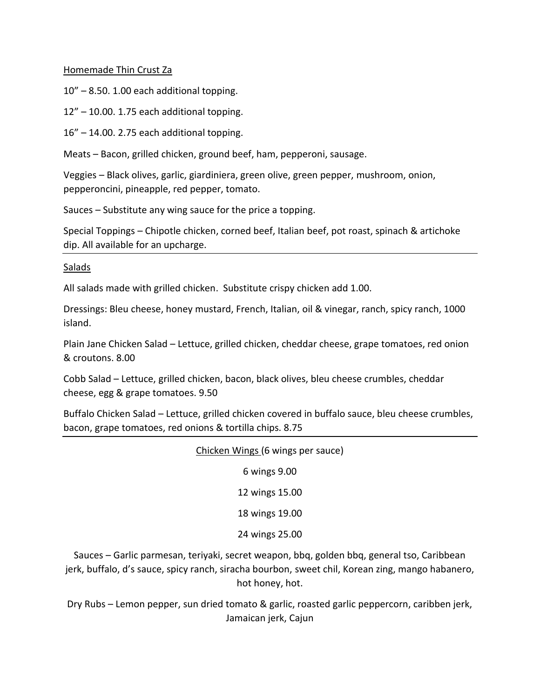## Homemade Thin Crust Za

10" – 8.50. 1.00 each additional topping.

12" – 10.00. 1.75 each additional topping.

16" – 14.00. 2.75 each additional topping.

Meats – Bacon, grilled chicken, ground beef, ham, pepperoni, sausage.

Veggies – Black olives, garlic, giardiniera, green olive, green pepper, mushroom, onion, pepperoncini, pineapple, red pepper, tomato.

Sauces – Substitute any wing sauce for the price a topping.

Special Toppings – Chipotle chicken, corned beef, Italian beef, pot roast, spinach & artichoke dip. All available for an upcharge.

Salads

All salads made with grilled chicken. Substitute crispy chicken add 1.00.

Dressings: Bleu cheese, honey mustard, French, Italian, oil & vinegar, ranch, spicy ranch, 1000 island.

Plain Jane Chicken Salad – Lettuce, grilled chicken, cheddar cheese, grape tomatoes, red onion & croutons. 8.00

Cobb Salad – Lettuce, grilled chicken, bacon, black olives, bleu cheese crumbles, cheddar cheese, egg & grape tomatoes. 9.50

Buffalo Chicken Salad – Lettuce, grilled chicken covered in buffalo sauce, bleu cheese crumbles, bacon, grape tomatoes, red onions & tortilla chips. 8.75

# Chicken Wings (6 wings per sauce)

6 wings 9.00

12 wings 15.00

18 wings 19.00

24 wings 25.00

Sauces – Garlic parmesan, teriyaki, secret weapon, bbq, golden bbq, general tso, Caribbean jerk, buffalo, d's sauce, spicy ranch, siracha bourbon, sweet chil, Korean zing, mango habanero, hot honey, hot.

Dry Rubs – Lemon pepper, sun dried tomato & garlic, roasted garlic peppercorn, caribben jerk, Jamaican jerk, Cajun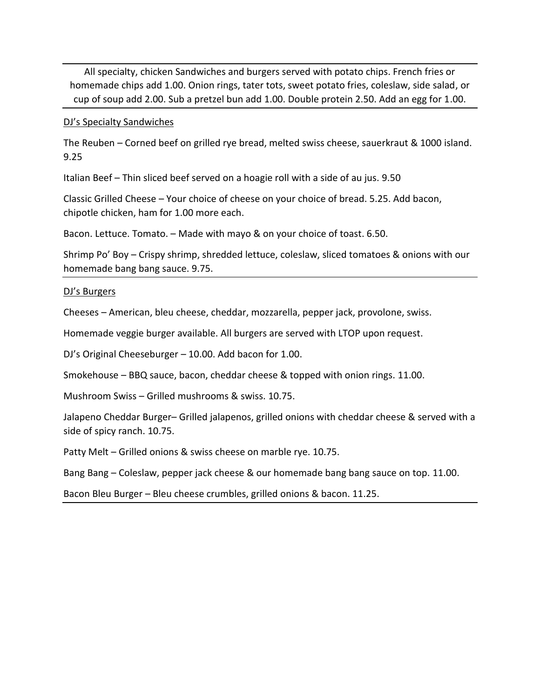All specialty, chicken Sandwiches and burgers served with potato chips. French fries or homemade chips add 1.00. Onion rings, tater tots, sweet potato fries, coleslaw, side salad, or cup of soup add 2.00. Sub a pretzel bun add 1.00. Double protein 2.50. Add an egg for 1.00.

#### DJ's Specialty Sandwiches

The Reuben – Corned beef on grilled rye bread, melted swiss cheese, sauerkraut & 1000 island. 9.25

Italian Beef – Thin sliced beef served on a hoagie roll with a side of au jus. 9.50

Classic Grilled Cheese – Your choice of cheese on your choice of bread. 5.25. Add bacon, chipotle chicken, ham for 1.00 more each.

Bacon. Lettuce. Tomato. – Made with mayo & on your choice of toast. 6.50.

Shrimp Po' Boy – Crispy shrimp, shredded lettuce, coleslaw, sliced tomatoes & onions with our homemade bang bang sauce. 9.75.

#### DJ's Burgers

Cheeses – American, bleu cheese, cheddar, mozzarella, pepper jack, provolone, swiss.

Homemade veggie burger available. All burgers are served with LTOP upon request.

DJ's Original Cheeseburger – 10.00. Add bacon for 1.00.

Smokehouse – BBQ sauce, bacon, cheddar cheese & topped with onion rings. 11.00.

Mushroom Swiss – Grilled mushrooms & swiss. 10.75.

Jalapeno Cheddar Burger– Grilled jalapenos, grilled onions with cheddar cheese & served with a side of spicy ranch. 10.75.

Patty Melt – Grilled onions & swiss cheese on marble rye. 10.75.

Bang Bang – Coleslaw, pepper jack cheese & our homemade bang bang sauce on top. 11.00.

Bacon Bleu Burger – Bleu cheese crumbles, grilled onions & bacon. 11.25.